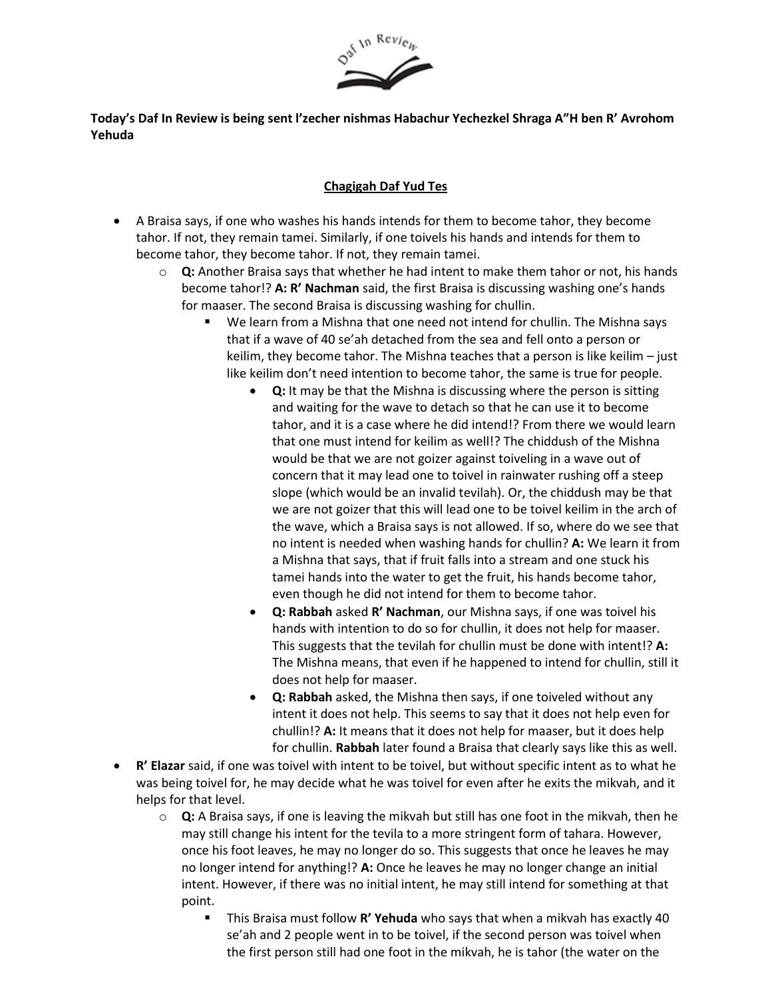

## **Today's Daf In Review is being sent l'zecher nishmas Habachur Yechezkel Shraga A"H ben R' Avrohom Yehuda**

## **Chagigah Daf Yud Tes**

- A Braisa says, if one who washes his hands intends for them to become tahor, they become tahor. If not, they remain tamei. Similarly, if one toivels his hands and intends for them to become tahor, they become tahor. If not, they remain tamei.
	- o **Q:** Another Braisa says that whether he had intent to make them tahor or not, his hands become tahor!? **A: R' Nachman** said, the first Braisa is discussing washing one's hands for maaser. The second Braisa is discussing washing for chullin.
		- We learn from a Mishna that one need not intend for chullin. The Mishna says that if a wave of 40 se'ah detached from the sea and fell onto a person or keilim, they become tahor. The Mishna teaches that a person is like keilim – just like keilim don't need intention to become tahor, the same is true for people.
			- **Q:** It may be that the Mishna is discussing where the person is sitting and waiting for the wave to detach so that he can use it to become tahor, and it is a case where he did intend!? From there we would learn that one must intend for keilim as well!? The chiddush of the Mishna would be that we are not goizer against toiveling in a wave out of concern that it may lead one to toivel in rainwater rushing off a steep slope (which would be an invalid tevilah). Or, the chiddush may be that we are not goizer that this will lead one to be toivel keilim in the arch of the wave, which a Braisa says is not allowed. If so, where do we see that no intent is needed when washing hands for chullin? **A:** We learn it from a Mishna that says, that if fruit falls into a stream and one stuck his tamei hands into the water to get the fruit, his hands become tahor, even though he did not intend for them to become tahor.
			- **Q: Rabbah** asked **R' Nachman**, our Mishna says, if one was toivel his hands with intention to do so for chullin, it does not help for maaser. This suggests that the tevilah for chullin must be done with intent!? **A:** The Mishna means, that even if he happened to intend for chullin, still it does not help for maaser.
			- **Q: Rabbah** asked, the Mishna then says, if one toiveled without any intent it does not help. This seems to say that it does not help even for chullin!? **A:** It means that it does not help for maaser, but it does help for chullin. **Rabbah** later found a Braisa that clearly says like this as well.
- **R' Elazar** said, if one was toivel with intent to be toivel, but without specific intent as to what he was being toivel for, he may decide what he was toivel for even after he exits the mikvah, and it helps for that level.
	- o **Q:** A Braisa says, if one is leaving the mikvah but still has one foot in the mikvah, then he may still change his intent for the tevila to a more stringent form of tahara. However, once his foot leaves, he may no longer do so. This suggests that once he leaves he may no longer intend for anything!? **A:** Once he leaves he may no longer change an initial intent. However, if there was no initial intent, he may still intend for something at that point.
		- This Braisa must follow **R' Yehuda** who says that when a mikvah has exactly 40 se'ah and 2 people went in to be toivel, if the second person was toivel when the first person still had one foot in the mikvah, he is tahor (the water on the